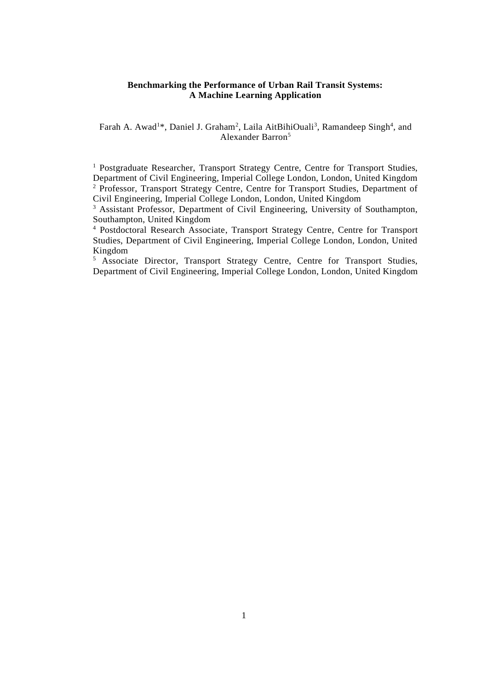# **Benchmarking the Performance of Urban Rail Transit Systems: A Machine Learning Application**

Farah A. Awad<sup>1\*</sup>, Daniel J. Graham<sup>2</sup>, Laila AitBihiOuali<sup>3</sup>, Ramandeep Singh<sup>4</sup>, and Alexander Barron<sup>5</sup>

<sup>1</sup> Postgraduate Researcher, Transport Strategy Centre, Centre for Transport Studies, Department of Civil Engineering, Imperial College London, London, United Kingdom <sup>2</sup> Professor, Transport Strategy Centre, Centre for Transport Studies, Department of Civil Engineering, Imperial College London, London, United Kingdom

<sup>3</sup> Assistant Professor, Department of Civil Engineering, University of Southampton, Southampton, United Kingdom

<sup>4</sup> Postdoctoral Research Associate, Transport Strategy Centre, Centre for Transport Studies, Department of Civil Engineering, Imperial College London, London, United Kingdom

<sup>5</sup> Associate Director, Transport Strategy Centre, Centre for Transport Studies, Department of Civil Engineering, Imperial College London, London, United Kingdom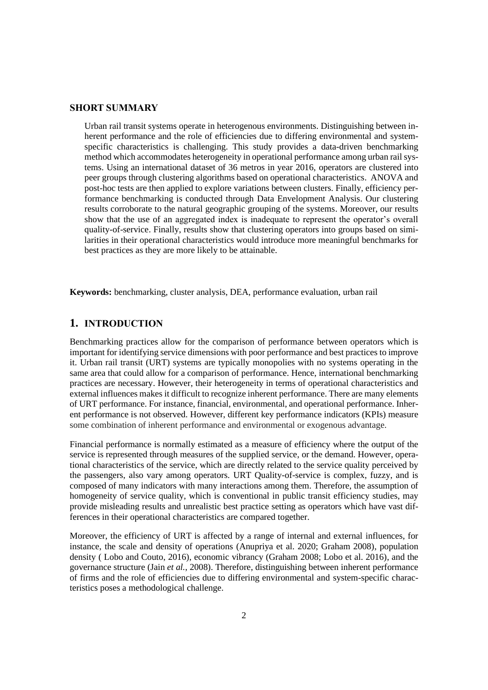# **SHORT SUMMARY**

Urban rail transit systems operate in heterogenous environments. Distinguishing between inherent performance and the role of efficiencies due to differing environmental and systemspecific characteristics is challenging. This study provides a data-driven benchmarking method which accommodates heterogeneity in operational performance among urban rail systems. Using an international dataset of 36 metros in year 2016, operators are clustered into peer groups through clustering algorithms based on operational characteristics. ANOVA and post-hoc tests are then applied to explore variations between clusters. Finally, efficiency performance benchmarking is conducted through Data Envelopment Analysis. Our clustering results corroborate to the natural geographic grouping of the systems. Moreover, our results show that the use of an aggregated index is inadequate to represent the operator's overall quality-of-service. Finally, results show that clustering operators into groups based on similarities in their operational characteristics would introduce more meaningful benchmarks for best practices as they are more likely to be attainable.

**Keywords:** benchmarking, cluster analysis, DEA, performance evaluation, urban rail

## **1. INTRODUCTION**

Benchmarking practices allow for the comparison of performance between operators which is important for identifying service dimensions with poor performance and best practices to improve it. Urban rail transit (URT) systems are typically monopolies with no systems operating in the same area that could allow for a comparison of performance. Hence, international benchmarking practices are necessary. However, their heterogeneity in terms of operational characteristics and external influences makes it difficult to recognize inherent performance. There are many elements of URT performance. For instance, financial, environmental, and operational performance. Inherent performance is not observed. However, different key performance indicators (KPIs) measure some combination of inherent performance and environmental or exogenous advantage.

Financial performance is normally estimated as a measure of efficiency where the output of the service is represented through measures of the supplied service, or the demand. However, operational characteristics of the service, which are directly related to the service quality perceived by the passengers, also vary among operators. URT Quality-of-service is complex, fuzzy, and is composed of many indicators with many interactions among them. Therefore, the assumption of homogeneity of service quality, which is conventional in public transit efficiency studies, may provide misleading results and unrealistic best practice setting as operators which have vast differences in their operational characteristics are compared together.

Moreover, the efficiency of URT is affected by a range of internal and external influences, for instance, the scale and density of operations (Anupriya et al. 2020; Graham 2008), population density ( Lobo and Couto, 2016), economic vibrancy (Graham 2008; Lobo et al. 2016), and the governance structure (Jain *et al.*, 2008). Therefore, distinguishing between inherent performance of firms and the role of efficiencies due to differing environmental and system-specific characteristics poses a methodological challenge.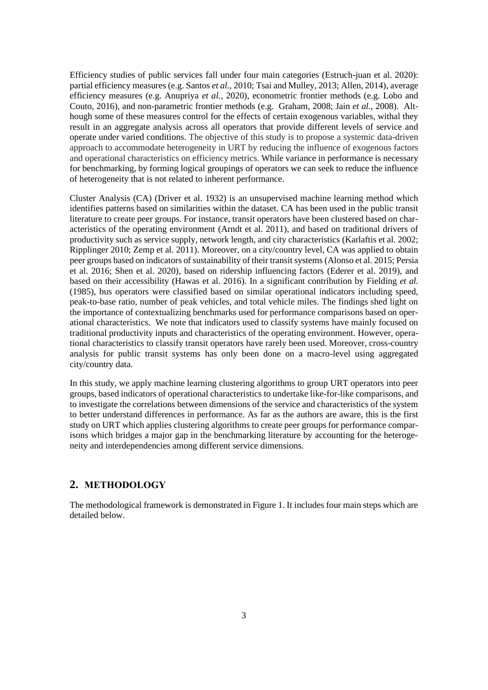Efficiency studies of public services fall under four main categories (Estruch-juan et al. 2020): partial efficiency measures (e.g. Santos *et al.*, 2010; Tsai and Mulley, 2013; Allen, 2014), average efficiency measures (e.g. Anupriya *et al.*, 2020), econometric frontier methods (e.g. Lobo and Couto, 2016), and non-parametric frontier methods (e.g. Graham, 2008; Jain *et al.*, 2008). Although some of these measures control for the effects of certain exogenous variables, withal they result in an aggregate analysis across all operators that provide different levels of service and operate under varied conditions. The objective of this study is to propose a systemic data-driven approach to accommodate heterogeneity in URT by reducing the influence of exogenous factors and operational characteristics on efficiency metrics. While variance in performance is necessary for benchmarking, by forming logical groupings of operators we can seek to reduce the influence of heterogeneity that is not related to inherent performance.

Cluster Analysis (CA) (Driver et al. 1932) is an unsupervised machine learning method which identifies patterns based on similarities within the dataset. CA has been used in the public transit literature to create peer groups. For instance, transit operators have been clustered based on characteristics of the operating environment (Arndt et al. 2011), and based on traditional drivers of productivity such as service supply, network length, and city characteristics (Karlaftis et al. 2002; Ripplinger 2010; Zemp et al. 2011). Moreover, on a city/country level, CA was applied to obtain peer groups based on indicators of sustainability of their transit systems (Alonso et al. 2015; Persia et al. 2016; Shen et al. 2020), based on ridership influencing factors (Ederer et al. 2019), and based on their accessibility (Hawas et al. 2016). In a significant contribution by Fielding *et al.* (1985), bus operators were classified based on similar operational indicators including speed, peak-to-base ratio, number of peak vehicles, and total vehicle miles. The findings shed light on the importance of contextualizing benchmarks used for performance comparisons based on operational characteristics. We note that indicators used to classify systems have mainly focused on traditional productivity inputs and characteristics of the operating environment. However, operational characteristics to classify transit operators have rarely been used. Moreover, cross-country analysis for public transit systems has only been done on a macro-level using aggregated city/country data.

In this study, we apply machine learning clustering algorithms to group URT operators into peer groups, based indicators of operational characteristics to undertake like-for-like comparisons, and to investigate the correlations between dimensions of the service and characteristics of the system to better understand differences in performance. As far as the authors are aware, this is the first study on URT which applies clustering algorithms to create peer groups for performance comparisons which bridges a major gap in the benchmarking literature by accounting for the heterogeneity and interdependencies among different service dimensions.

# **2. METHODOLOGY**

The methodological framework is demonstrated in Figure 1. It includes four main steps which are detailed below.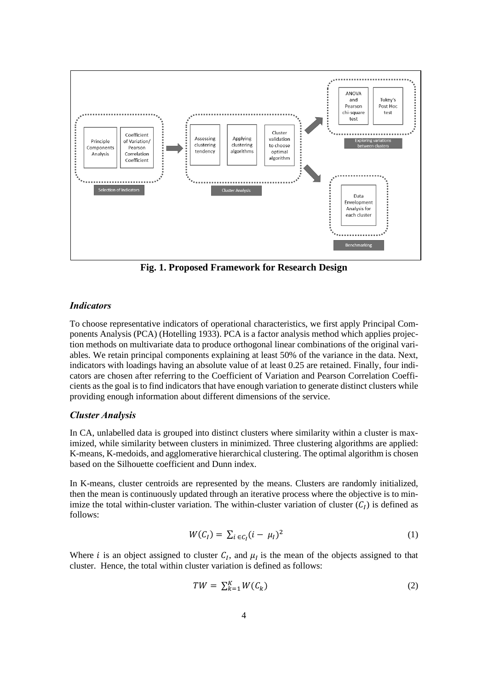

**Fig. 1. Proposed Framework for Research Design**

#### *Indicators*

To choose representative indicators of operational characteristics, we first apply Principal Components Analysis (PCA) (Hotelling 1933). PCA is a factor analysis method which applies projection methods on multivariate data to produce orthogonal linear combinations of the original variables. We retain principal components explaining at least 50% of the variance in the data. Next, indicators with loadings having an absolute value of at least 0.25 are retained. Finally, four indicators are chosen after referring to the Coefficient of Variation and Pearson Correlation Coefficients as the goal is to find indicators that have enough variation to generate distinct clusters while providing enough information about different dimensions of the service.

#### *Cluster Analysis*

In CA, unlabelled data is grouped into distinct clusters where similarity within a cluster is maximized, while similarity between clusters in minimized. Three clustering algorithms are applied: K-means, K-medoids, and agglomerative hierarchical clustering. The optimal algorithm is chosen based on the Silhouette coefficient and Dunn index.

In K-means, cluster centroids are represented by the means. Clusters are randomly initialized, then the mean is continuously updated through an iterative process where the objective is to minimize the total within-cluster variation. The within-cluster variation of cluster  $(C_I)$  is defined as follows:

$$
W(C_I) = \sum_{i \in C_I} (i - \mu_I)^2 \tag{1}
$$

Where *i* is an object assigned to cluster  $C_I$ , and  $\mu_I$  is the mean of the objects assigned to that cluster. Hence, the total within cluster variation is defined as follows:

$$
TW = \sum_{k=1}^{K} W(C_k) \tag{2}
$$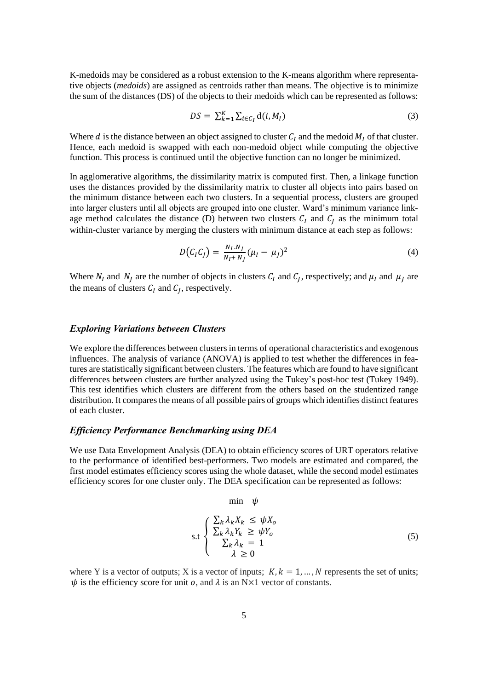K-medoids may be considered as a robust extension to the K-means algorithm where representative objects (*medoids*) are assigned as centroids rather than means. The objective is to minimize the sum of the distances (DS) of the objects to their medoids which can be represented as follows:

$$
DS = \sum_{k=1}^{K} \sum_{i \in C_I} d(i, M_I)
$$
 (3)

Where *d* is the distance between an object assigned to cluster  $C_l$  and the medoid  $M_l$  of that cluster. Hence, each medoid is swapped with each non-medoid object while computing the objective function. This process is continued until the objective function can no longer be minimized.

In agglomerative algorithms, the dissimilarity matrix is computed first. Then, a linkage function uses the distances provided by the dissimilarity matrix to cluster all objects into pairs based on the minimum distance between each two clusters. In a sequential process, clusters are grouped into larger clusters until all objects are grouped into one cluster. Ward's minimum variance linkage method calculates the distance (D) between two clusters  $C_I$  and  $C_I$  as the minimum total within-cluster variance by merging the clusters with minimum distance at each step as follows:

$$
D(C_{I}C_{J}) = \frac{N_{I}N_{J}}{N_{I}+N_{J}}(\mu_{I}-\mu_{J})^{2}
$$
\n(4)

Where  $N_I$  and  $N_J$  are the number of objects in clusters  $C_I$  and  $C_J$ , respectively; and  $\mu_I$  and  $\mu_J$  are the means of clusters  $C_I$  and  $C_J$ , respectively.

## *Exploring Variations between Clusters*

We explore the differences between clusters in terms of operational characteristics and exogenous influences. The analysis of variance (ANOVA) is applied to test whether the differences in features are statistically significant between clusters. The features which are found to have significant differences between clusters are further analyzed using the Tukey's post-hoc test (Tukey 1949). This test identifies which clusters are different from the others based on the studentized range distribution. It compares the means of all possible pairs of groups which identifies distinct features of each cluster.

## *Efficiency Performance Benchmarking using DEA*

We use Data Envelopment Analysis (DEA) to obtain efficiency scores of URT operators relative to the performance of identified best-performers. Two models are estimated and compared, the first model estimates efficiency scores using the whole dataset, while the second model estimates efficiency scores for one cluster only. The DEA specification can be represented as follows:

min

$$
\text{s.t} \begin{cases} \sum_{k} \lambda_{k} X_{k} \leq \psi X_{o} \\ \sum_{k} \lambda_{k} Y_{k} \geq \psi Y_{o} \\ \sum_{k} \lambda_{k} = 1 \\ \lambda \geq 0 \end{cases} \tag{5}
$$

where Y is a vector of outputs; X is a vector of inputs;  $K, k = 1, ..., N$  represents the set of units;  $\psi$  is the efficiency score for unit *o*, and  $\lambda$  is an N×1 vector of constants.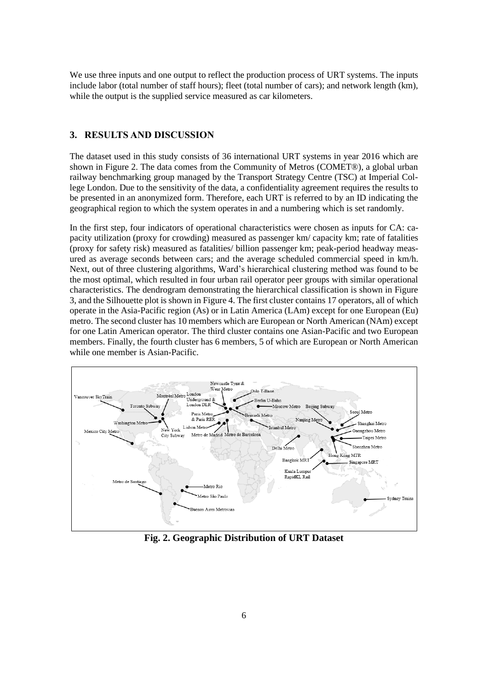We use three inputs and one output to reflect the production process of URT systems. The inputs include labor (total number of staff hours); fleet (total number of cars); and network length (km), while the output is the supplied service measured as car kilometers.

# **3. RESULTS AND DISCUSSION**

The dataset used in this study consists of 36 international URT systems in year 2016 which are shown in Figure 2. The data comes from the Community of Metros (COMET®), a global urban railway benchmarking group managed by the Transport Strategy Centre (TSC) at Imperial College London. Due to the sensitivity of the data, a confidentiality agreement requires the results to be presented in an anonymized form. Therefore, each URT is referred to by an ID indicating the geographical region to which the system operates in and a numbering which is set randomly.

In the first step, four indicators of operational characteristics were chosen as inputs for CA: capacity utilization (proxy for crowding) measured as passenger km/ capacity km; rate of fatalities (proxy for safety risk) measured as fatalities/ billion passenger km; peak-period headway measured as average seconds between cars; and the average scheduled commercial speed in km/h. Next, out of three clustering algorithms, Ward's hierarchical clustering method was found to be the most optimal, which resulted in four urban rail operator peer groups with similar operational characteristics. The dendrogram demonstrating the hierarchical classification is shown in Figure 3, and the Silhouette plot is shown in Figure 4. The first cluster contains 17 operators, all of which operate in the Asia-Pacific region (As) or in Latin America (LAm) except for one European (Eu) metro. The second cluster has 10 members which are European or North American (NAm) except for one Latin American operator. The third cluster contains one Asian-Pacific and two European members. Finally, the fourth cluster has 6 members, 5 of which are European or North American while one member is Asian-Pacific.



**Fig. 2. Geographic Distribution of URT Dataset**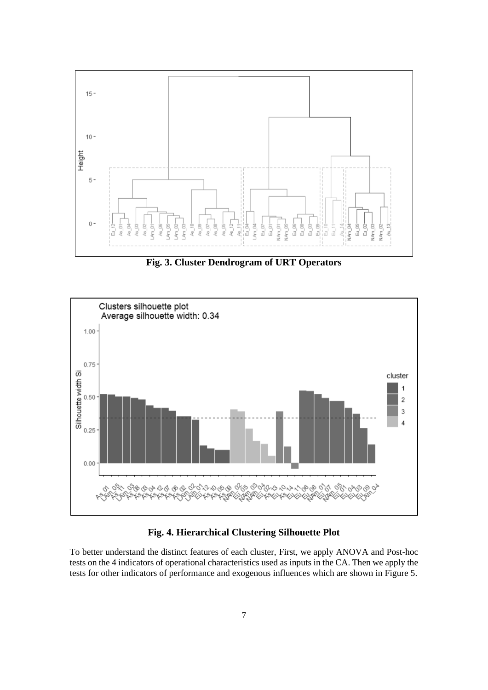

**Fig. 3. Cluster Dendrogram of URT Operators**



**Fig. 4. Hierarchical Clustering Silhouette Plot**

To better understand the distinct features of each cluster, First, we apply ANOVA and Post-hoc tests on the 4 indicators of operational characteristics used as inputs in the CA. Then we apply the tests for other indicators of performance and exogenous influences which are shown in Figure 5.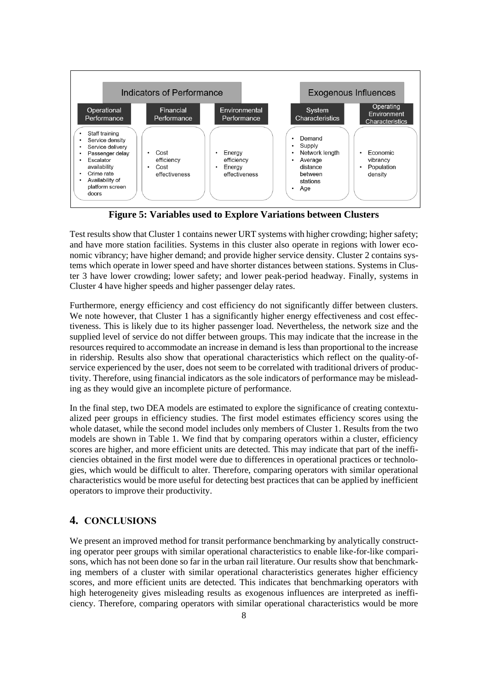

**Figure 5: Variables used to Explore Variations between Clusters**

Test results show that Cluster 1 contains newer URT systems with higher crowding; higher safety; and have more station facilities. Systems in this cluster also operate in regions with lower economic vibrancy; have higher demand; and provide higher service density. Cluster 2 contains systems which operate in lower speed and have shorter distances between stations. Systems in Cluster 3 have lower crowding; lower safety; and lower peak-period headway. Finally, systems in Cluster 4 have higher speeds and higher passenger delay rates.

Furthermore, energy efficiency and cost efficiency do not significantly differ between clusters. We note however, that Cluster 1 has a significantly higher energy effectiveness and cost effectiveness. This is likely due to its higher passenger load. Nevertheless, the network size and the supplied level of service do not differ between groups. This may indicate that the increase in the resources required to accommodate an increase in demand is less than proportional to the increase in ridership. Results also show that operational characteristics which reflect on the quality-ofservice experienced by the user, does not seem to be correlated with traditional drivers of productivity. Therefore, using financial indicators as the sole indicators of performance may be misleading as they would give an incomplete picture of performance.

In the final step, two DEA models are estimated to explore the significance of creating contextualized peer groups in efficiency studies. The first model estimates efficiency scores using the whole dataset, while the second model includes only members of Cluster 1. Results from the two models are shown in Table 1. We find that by comparing operators within a cluster, efficiency scores are higher, and more efficient units are detected. This may indicate that part of the inefficiencies obtained in the first model were due to differences in operational practices or technologies, which would be difficult to alter. Therefore, comparing operators with similar operational characteristics would be more useful for detecting best practices that can be applied by inefficient operators to improve their productivity.

# **4. CONCLUSIONS**

We present an improved method for transit performance benchmarking by analytically constructing operator peer groups with similar operational characteristics to enable like-for-like comparisons, which has not been done so far in the urban rail literature. Our results show that benchmarking members of a cluster with similar operational characteristics generates higher efficiency scores, and more efficient units are detected. This indicates that benchmarking operators with high heterogeneity gives misleading results as exogenous influences are interpreted as inefficiency. Therefore, comparing operators with similar operational characteristics would be more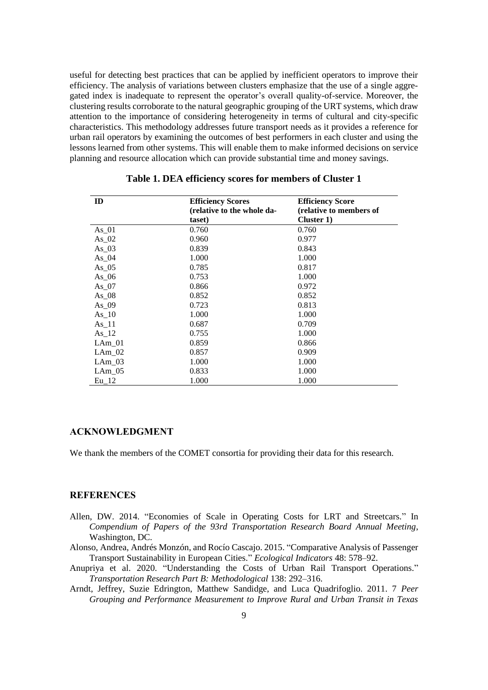useful for detecting best practices that can be applied by inefficient operators to improve their efficiency. The analysis of variations between clusters emphasize that the use of a single aggregated index is inadequate to represent the operator's overall quality-of-service. Moreover, the clustering results corroborate to the natural geographic grouping of the URT systems, which draw attention to the importance of considering heterogeneity in terms of cultural and city-specific characteristics. This methodology addresses future transport needs as it provides a reference for urban rail operators by examining the outcomes of best performers in each cluster and using the lessons learned from other systems. This will enable them to make informed decisions on service planning and resource allocation which can provide substantial time and money savings.

| ID       | <b>Efficiency Scores</b>   | <b>Efficiency Score</b> |
|----------|----------------------------|-------------------------|
|          | (relative to the whole da- | (relative to members of |
|          | taset)                     | Cluster 1)              |
| $As_01$  | 0.760                      | 0.760                   |
| $As_02$  | 0.960                      | 0.977                   |
| $As_03$  | 0.839                      | 0.843                   |
| $As_04$  | 1.000                      | 1.000                   |
| $As_05$  | 0.785                      | 0.817                   |
| $As_0$   | 0.753                      | 1.000                   |
| $As_0$   | 0.866                      | 0.972                   |
| $As_0$   | 0.852                      | 0.852                   |
| As 09    | 0.723                      | 0.813                   |
| As 10    | 1.000                      | 1.000                   |
| $As_11$  | 0.687                      | 0.709                   |
| $As_12$  | 0.755                      | 1.000                   |
| $LAm_01$ | 0.859                      | 0.866                   |
| $LAm_02$ | 0.857                      | 0.909                   |
| $LAm_03$ | 1.000                      | 1.000                   |
| $LAm$ 05 | 0.833                      | 1.000                   |
| $Eu_12$  | 1.000                      | 1.000                   |

**Table 1. DEA efficiency scores for members of Cluster 1**

### **ACKNOWLEDGMENT**

We thank the members of the COMET consortia for providing their data for this research.

### **REFERENCES**

- Allen, DW. 2014. "Economies of Scale in Operating Costs for LRT and Streetcars." In *Compendium of Papers of the 93rd Transportation Research Board Annual Meeting*, Washington, DC.
- Alonso, Andrea, Andrés Monzón, and Rocío Cascajo. 2015. "Comparative Analysis of Passenger Transport Sustainability in European Cities." *Ecological Indicators* 48: 578–92.
- Anupriya et al. 2020. "Understanding the Costs of Urban Rail Transport Operations." *Transportation Research Part B: Methodological* 138: 292–316.
- Arndt, Jeffrey, Suzie Edrington, Matthew Sandidge, and Luca Quadrifoglio. 2011. 7 *Peer Grouping and Performance Measurement to Improve Rural and Urban Transit in Texas*